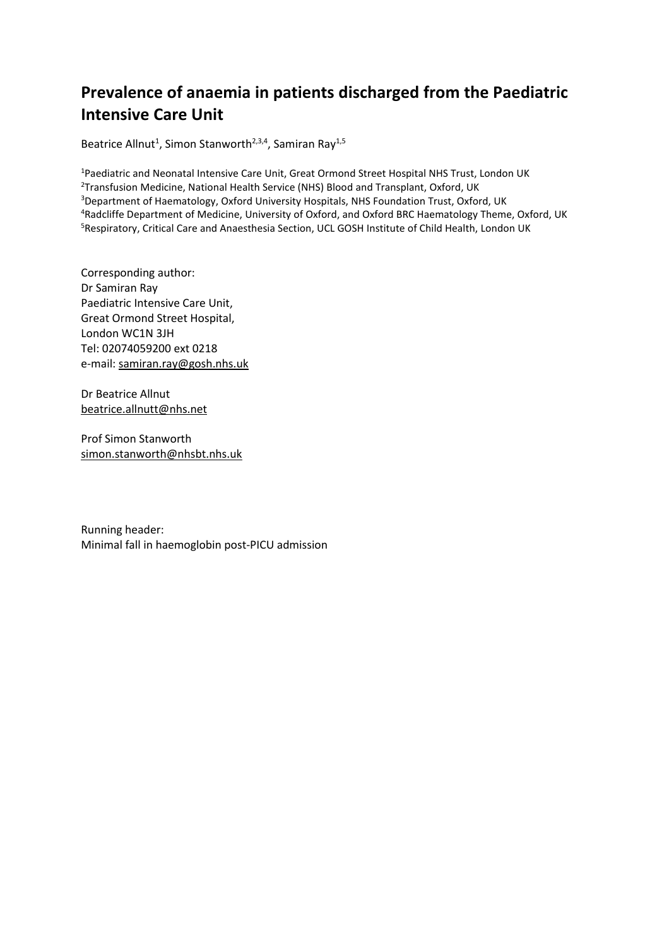## **Prevalence of anaemia in patients discharged from the Paediatric Intensive Care Unit**

Beatrice Allnut<sup>1</sup>, Simon Stanworth<sup>2,3,4</sup>, Samiran Ray<sup>1,5</sup>

<sup>1</sup>Paediatric and Neonatal Intensive Care Unit, Great Ormond Street Hospital NHS Trust, London UK <sup>2</sup>Transfusion Medicine, National Health Service (NHS) Blood and Transplant, Oxford, UK <sup>3</sup>Department of Haematology, Oxford University Hospitals, NHS Foundation Trust, Oxford, UK <sup>4</sup>Radcliffe Department of Medicine, University of Oxford, and Oxford BRC Haematology Theme, Oxford, UK <sup>5</sup>Respiratory, Critical Care and Anaesthesia Section, UCL GOSH Institute of Child Health, London UK

Corresponding author: Dr Samiran Ray Paediatric Intensive Care Unit, Great Ormond Street Hospital, London WC1N 3JH Tel: 02074059200 ext 0218 e-mail: [samiran.ray@gosh.nhs.uk](mailto:samiran.ray@gosh.nhs.uk)

Dr Beatrice Allnut [beatrice.allnutt@nhs.net](mailto:beatrice.allnutt@nhs.net)

Prof Simon Stanworth [simon.stanworth@nhsbt.nhs.uk](mailto:simon.stanworth@nhsbt.nhs.uk)

Running header: Minimal fall in haemoglobin post-PICU admission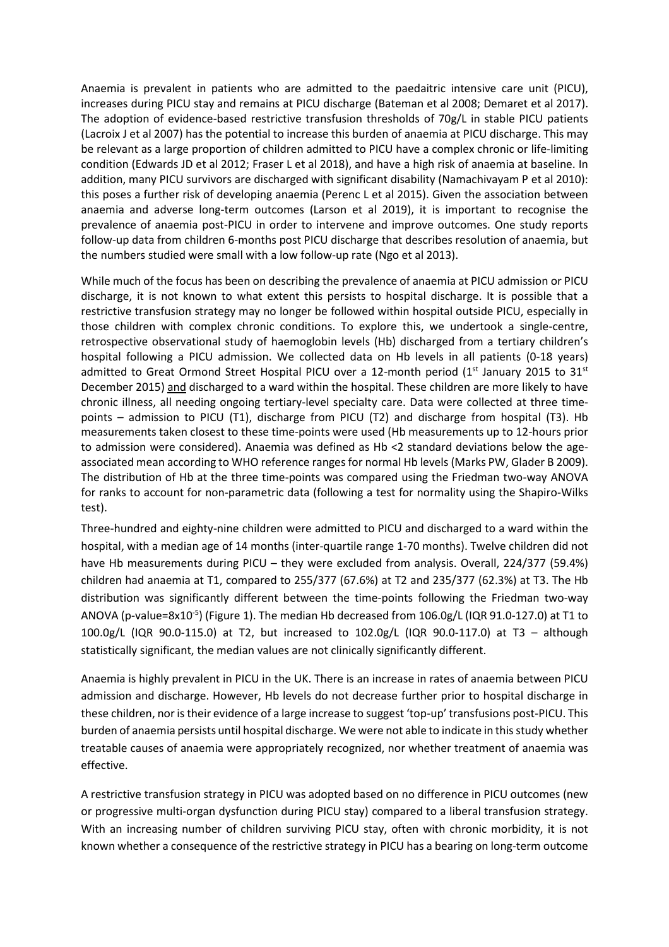Anaemia is prevalent in patients who are admitted to the paedaitric intensive care unit (PICU), increases during PICU stay and remains at PICU discharge (Bateman et al 2008; Demaret et al 2017). The adoption of evidence-based restrictive transfusion thresholds of 70g/L in stable PICU patients (Lacroix J et al 2007) has the potential to increase this burden of anaemia at PICU discharge. This may be relevant as a large proportion of children admitted to PICU have a complex chronic or life-limiting condition (Edwards JD et al 2012; Fraser L et al 2018), and have a high risk of anaemia at baseline. In addition, many PICU survivors are discharged with significant disability (Namachivayam P et al 2010): this poses a further risk of developing anaemia (Perenc L et al 2015). Given the association between anaemia and adverse long-term outcomes (Larson et al 2019), it is important to recognise the prevalence of anaemia post-PICU in order to intervene and improve outcomes. One study reports follow-up data from children 6-months post PICU discharge that describes resolution of anaemia, but the numbers studied were small with a low follow-up rate (Ngo et al 2013).

While much of the focus has been on describing the prevalence of anaemia at PICU admission or PICU discharge, it is not known to what extent this persists to hospital discharge. It is possible that a restrictive transfusion strategy may no longer be followed within hospital outside PICU, especially in those children with complex chronic conditions. To explore this, we undertook a single-centre, retrospective observational study of haemoglobin levels (Hb) discharged from a tertiary children's hospital following a PICU admission. We collected data on Hb levels in all patients (0-18 years) admitted to Great Ormond Street Hospital PICU over a 12-month period ( $1<sup>st</sup>$  January 2015 to 31 $<sup>st</sup>$ </sup> December 2015) and discharged to a ward within the hospital. These children are more likely to have chronic illness, all needing ongoing tertiary-level specialty care. Data were collected at three timepoints – admission to PICU (T1), discharge from PICU (T2) and discharge from hospital (T3). Hb measurements taken closest to these time-points were used (Hb measurements up to 12-hours prior to admission were considered). Anaemia was defined as Hb <2 standard deviations below the ageassociated mean according to WHO reference ranges for normal Hb levels (Marks PW, Glader B 2009). The distribution of Hb at the three time-points was compared using the Friedman two-way ANOVA for ranks to account for non-parametric data (following a test for normality using the Shapiro-Wilks test).

Three-hundred and eighty-nine children were admitted to PICU and discharged to a ward within the hospital, with a median age of 14 months (inter-quartile range 1-70 months). Twelve children did not have Hb measurements during PICU – they were excluded from analysis. Overall, 224/377 (59.4%) children had anaemia at T1, compared to 255/377 (67.6%) at T2 and 235/377 (62.3%) at T3. The Hb distribution was significantly different between the time-points following the Friedman two-way ANOVA (p-value=8x10<sup>-5</sup>) (Figure 1). The median Hb decreased from 106.0g/L (IQR 91.0-127.0) at T1 to 100.0g/L (IQR 90.0-115.0) at T2, but increased to 102.0g/L (IQR 90.0-117.0) at T3 – although statistically significant, the median values are not clinically significantly different.

Anaemia is highly prevalent in PICU in the UK. There is an increase in rates of anaemia between PICU admission and discharge. However, Hb levels do not decrease further prior to hospital discharge in these children, nor istheir evidence of a large increase to suggest 'top-up' transfusions post-PICU. This burden of anaemia persists until hospital discharge. We were not able to indicate in this study whether treatable causes of anaemia were appropriately recognized, nor whether treatment of anaemia was effective.

A restrictive transfusion strategy in PICU was adopted based on no difference in PICU outcomes (new or progressive multi-organ dysfunction during PICU stay) compared to a liberal transfusion strategy. With an increasing number of children surviving PICU stay, often with chronic morbidity, it is not known whether a consequence of the restrictive strategy in PICU has a bearing on long-term outcome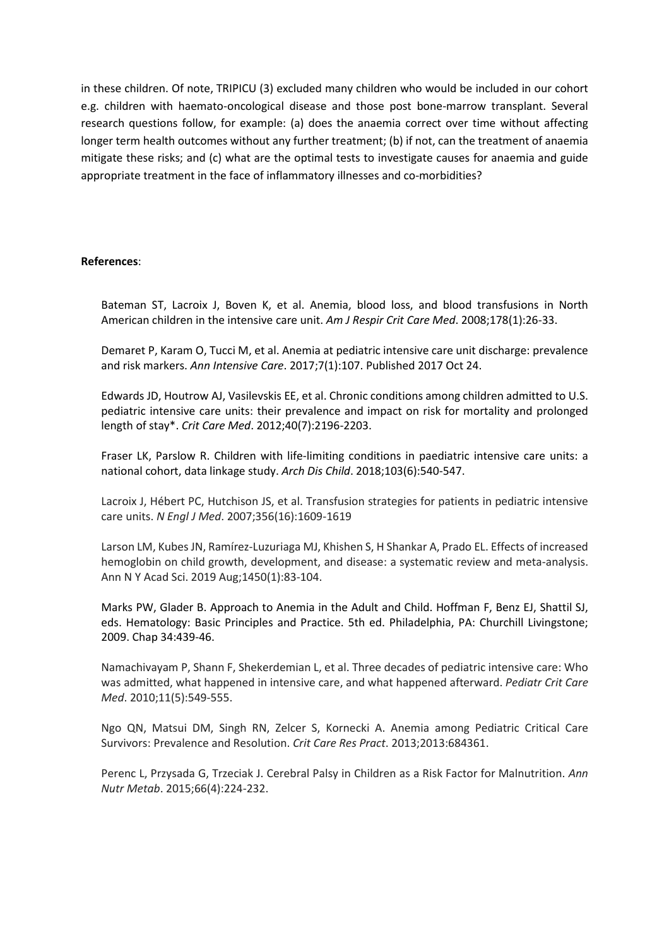in these children. Of note, TRIPICU (3) excluded many children who would be included in our cohort e.g. children with haemato-oncological disease and those post bone-marrow transplant. Several research questions follow, for example: (a) does the anaemia correct over time without affecting longer term health outcomes without any further treatment; (b) if not, can the treatment of anaemia mitigate these risks; and (c) what are the optimal tests to investigate causes for anaemia and guide appropriate treatment in the face of inflammatory illnesses and co-morbidities?

## **References**:

Bateman ST, Lacroix J, Boven K, et al. Anemia, blood loss, and blood transfusions in North American children in the intensive care unit. *Am J Respir Crit Care Med*. 2008;178(1):26-33.

Demaret P, Karam O, Tucci M, et al. Anemia at pediatric intensive care unit discharge: prevalence and risk markers. *Ann Intensive Care*. 2017;7(1):107. Published 2017 Oct 24.

Edwards JD, Houtrow AJ, Vasilevskis EE, et al. Chronic conditions among children admitted to U.S. pediatric intensive care units: their prevalence and impact on risk for mortality and prolonged length of stay\*. *Crit Care Med*. 2012;40(7):2196-2203.

Fraser LK, Parslow R. Children with life-limiting conditions in paediatric intensive care units: a national cohort, data linkage study. *Arch Dis Child*. 2018;103(6):540-547.

Lacroix J, Hébert PC, Hutchison JS, et al. Transfusion strategies for patients in pediatric intensive care units. *N Engl J Med*. 2007;356(16):1609-1619

Larson LM, Kubes JN, Ramírez-Luzuriaga MJ, Khishen S, H Shankar A, Prado EL. Effects of increased hemoglobin on child growth, development, and disease: a systematic review and meta-analysis. Ann N Y Acad Sci. 2019 Aug;1450(1):83-104.

Marks PW, Glader B. Approach to Anemia in the Adult and Child. Hoffman F, Benz EJ, Shattil SJ, eds. Hematology: Basic Principles and Practice. 5th ed. Philadelphia, PA: Churchill Livingstone; 2009. Chap 34:439-46.

Namachivayam P, Shann F, Shekerdemian L, et al. Three decades of pediatric intensive care: Who was admitted, what happened in intensive care, and what happened afterward. *Pediatr Crit Care Med*. 2010;11(5):549-555.

Ngo QN, Matsui DM, Singh RN, Zelcer S, Kornecki A. Anemia among Pediatric Critical Care Survivors: Prevalence and Resolution. *Crit Care Res Pract*. 2013;2013:684361.

Perenc L, Przysada G, Trzeciak J. Cerebral Palsy in Children as a Risk Factor for Malnutrition. *Ann Nutr Metab*. 2015;66(4):224-232.